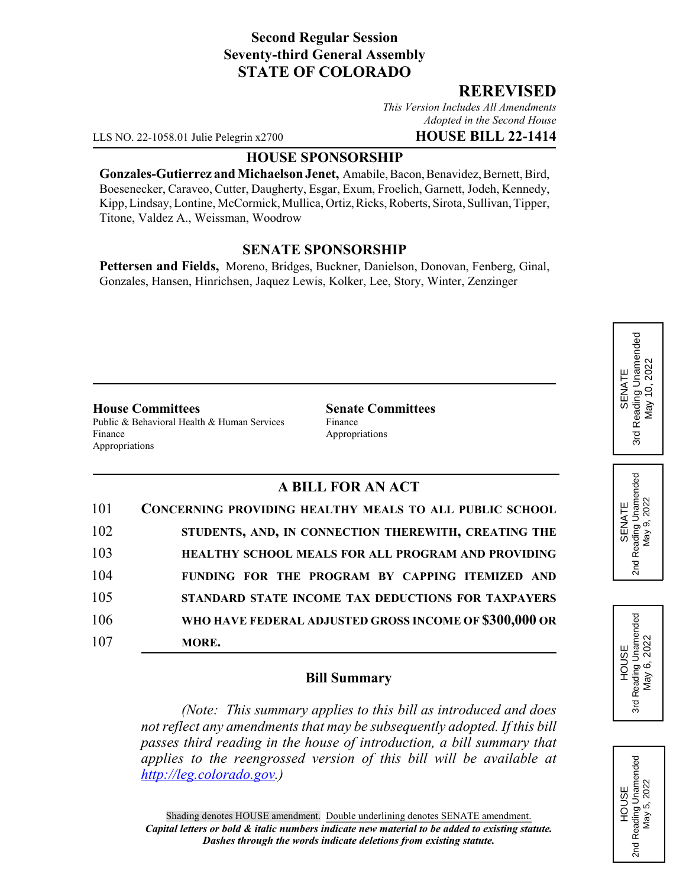# **Second Regular Session Seventy-third General Assembly STATE OF COLORADO**

### **REREVISED**

*This Version Includes All Amendments Adopted in the Second House*

LLS NO. 22-1058.01 Julie Pelegrin x2700 **HOUSE BILL 22-1414**

#### **HOUSE SPONSORSHIP**

**Gonzales-Gutierrez and Michaelson Jenet,** Amabile, Bacon, Benavidez, Bernett, Bird, Boesenecker, Caraveo, Cutter, Daugherty, Esgar, Exum, Froelich, Garnett, Jodeh, Kennedy, Kipp, Lindsay, Lontine, McCormick, Mullica, Ortiz, Ricks, Roberts, Sirota, Sullivan, Tipper, Titone, Valdez A., Weissman, Woodrow

### **SENATE SPONSORSHIP**

**Pettersen and Fields,** Moreno, Bridges, Buckner, Danielson, Donovan, Fenberg, Ginal, Gonzales, Hansen, Hinrichsen, Jaquez Lewis, Kolker, Lee, Story, Winter, Zenzinger

#### **House Committees Senate Committees**

Public & Behavioral Health & Human Services Finance Finance Appropriations Appropriations

# **A BILL FOR AN ACT**

| 101 | <b>CONCERNING PROVIDING HEALTHY MEALS TO ALL PUBLIC SCHOOL</b> |
|-----|----------------------------------------------------------------|
| 102 | STUDENTS, AND, IN CONNECTION THEREWITH, CREATING THE           |
| 103 | <b>HEALTHY SCHOOL MEALS FOR ALL PROGRAM AND PROVIDING</b>      |
| 104 | FUNDING FOR THE PROGRAM BY CAPPING ITEMIZED AND                |
| 105 | STANDARD STATE INCOME TAX DEDUCTIONS FOR TAXPAYERS             |
| 106 | WHO HAVE FEDERAL ADJUSTED GROSS INCOME OF \$300,000 OR         |
| 107 | MORE.                                                          |

### **Bill Summary**

*(Note: This summary applies to this bill as introduced and does not reflect any amendments that may be subsequently adopted. If this bill passes third reading in the house of introduction, a bill summary that applies to the reengrossed version of this bill will be available at http://leg.colorado.gov.)*







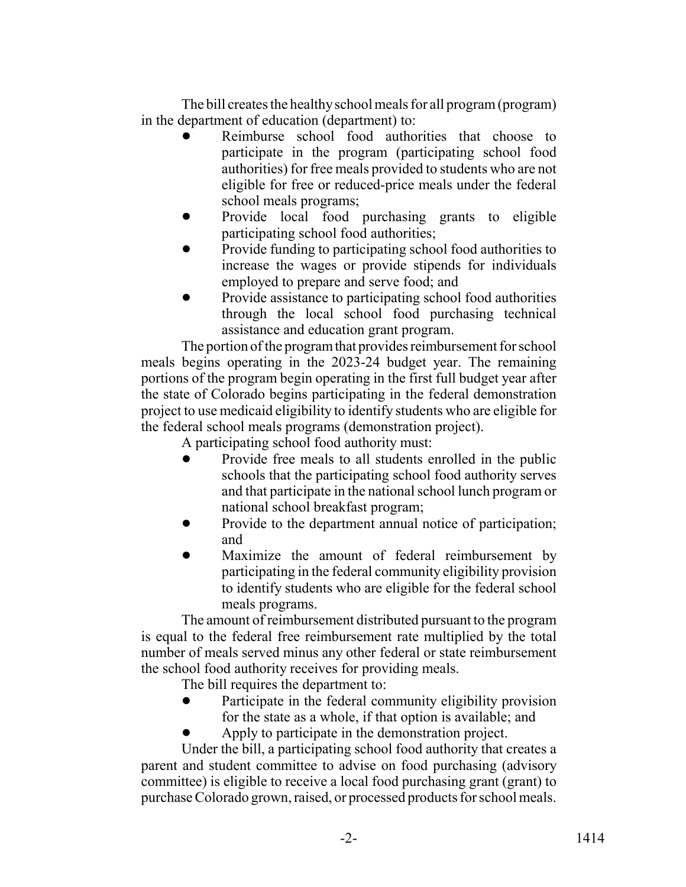The bill creates the healthy school meals for all program (program) in the department of education (department) to:

- Reimburse school food authorities that choose to participate in the program (participating school food authorities) for free meals provided to students who are not eligible for free or reduced-price meals under the federal school meals programs;
- Provide local food purchasing grants to eligible participating school food authorities;
- Provide funding to participating school food authorities to increase the wages or provide stipends for individuals employed to prepare and serve food; and
- Provide assistance to participating school food authorities through the local school food purchasing technical assistance and education grant program.

The portion of the program that provides reimbursement for school meals begins operating in the 2023-24 budget year. The remaining portions of the program begin operating in the first full budget year after the state of Colorado begins participating in the federal demonstration project to use medicaid eligibility to identify students who are eligible for the federal school meals programs (demonstration project).

A participating school food authority must:

- ! Provide free meals to all students enrolled in the public schools that the participating school food authority serves and that participate in the national school lunch program or national school breakfast program;
- Provide to the department annual notice of participation; and
- Maximize the amount of federal reimbursement by participating in the federal community eligibility provision to identify students who are eligible for the federal school meals programs.

The amount of reimbursement distributed pursuant to the program is equal to the federal free reimbursement rate multiplied by the total number of meals served minus any other federal or state reimbursement the school food authority receives for providing meals.

The bill requires the department to:

- Participate in the federal community eligibility provision for the state as a whole, if that option is available; and
- ! Apply to participate in the demonstration project.

Under the bill, a participating school food authority that creates a parent and student committee to advise on food purchasing (advisory committee) is eligible to receive a local food purchasing grant (grant) to purchase Colorado grown, raised, or processed products for school meals.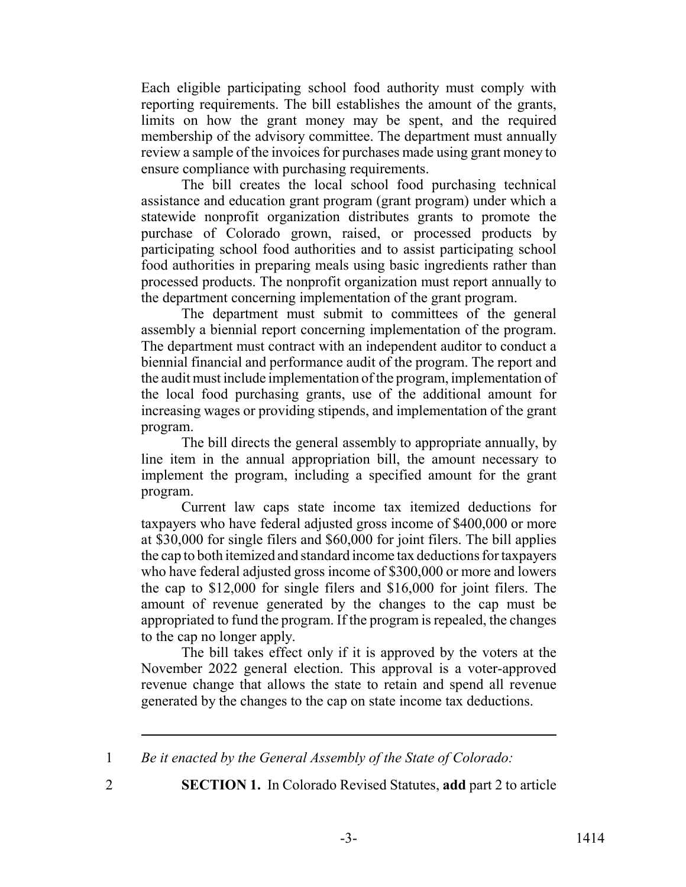Each eligible participating school food authority must comply with reporting requirements. The bill establishes the amount of the grants, limits on how the grant money may be spent, and the required membership of the advisory committee. The department must annually review a sample of the invoices for purchases made using grant money to ensure compliance with purchasing requirements.

The bill creates the local school food purchasing technical assistance and education grant program (grant program) under which a statewide nonprofit organization distributes grants to promote the purchase of Colorado grown, raised, or processed products by participating school food authorities and to assist participating school food authorities in preparing meals using basic ingredients rather than processed products. The nonprofit organization must report annually to the department concerning implementation of the grant program.

The department must submit to committees of the general assembly a biennial report concerning implementation of the program. The department must contract with an independent auditor to conduct a biennial financial and performance audit of the program. The report and the audit must include implementation of the program, implementation of the local food purchasing grants, use of the additional amount for increasing wages or providing stipends, and implementation of the grant program.

The bill directs the general assembly to appropriate annually, by line item in the annual appropriation bill, the amount necessary to implement the program, including a specified amount for the grant program.

Current law caps state income tax itemized deductions for taxpayers who have federal adjusted gross income of \$400,000 or more at \$30,000 for single filers and \$60,000 for joint filers. The bill applies the cap to both itemized and standard income tax deductions for taxpayers who have federal adjusted gross income of \$300,000 or more and lowers the cap to \$12,000 for single filers and \$16,000 for joint filers. The amount of revenue generated by the changes to the cap must be appropriated to fund the program. If the program is repealed, the changes to the cap no longer apply.

The bill takes effect only if it is approved by the voters at the November 2022 general election. This approval is a voter-approved revenue change that allows the state to retain and spend all revenue generated by the changes to the cap on state income tax deductions.

1 *Be it enacted by the General Assembly of the State of Colorado:*

2 **SECTION 1.** In Colorado Revised Statutes, **add** part 2 to article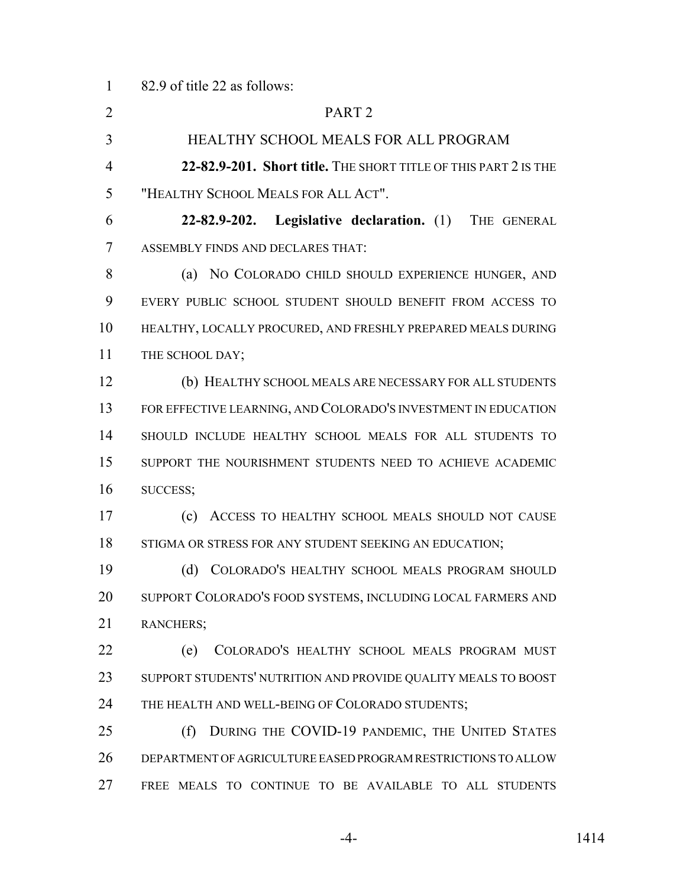82.9 of title 22 as follows:

| $\overline{2}$ | PART <sub>2</sub>                                               |
|----------------|-----------------------------------------------------------------|
| 3              | HEALTHY SCHOOL MEALS FOR ALL PROGRAM                            |
| $\overline{4}$ | 22-82.9-201. Short title. THE SHORT TITLE OF THIS PART 2 IS THE |
| 5              | "HEALTHY SCHOOL MEALS FOR ALL ACT".                             |
| 6              | 22-82.9-202. Legislative declaration. (1) THE GENERAL           |
| 7              | ASSEMBLY FINDS AND DECLARES THAT:                               |
| 8              | (a) NO COLORADO CHILD SHOULD EXPERIENCE HUNGER, AND             |
| 9              | EVERY PUBLIC SCHOOL STUDENT SHOULD BENEFIT FROM ACCESS TO       |
| 10             | HEALTHY, LOCALLY PROCURED, AND FRESHLY PREPARED MEALS DURING    |
| 11             | THE SCHOOL DAY;                                                 |
| 12             | (b) HEALTHY SCHOOL MEALS ARE NECESSARY FOR ALL STUDENTS         |
| 13             | FOR EFFECTIVE LEARNING, AND COLORADO'S INVESTMENT IN EDUCATION  |
| 14             | SHOULD INCLUDE HEALTHY SCHOOL MEALS FOR ALL STUDENTS TO         |
| 15             | SUPPORT THE NOURISHMENT STUDENTS NEED TO ACHIEVE ACADEMIC       |
| 16             | SUCCESS;                                                        |
| 17             | (c)<br>ACCESS TO HEALTHY SCHOOL MEALS SHOULD NOT CAUSE          |
| 18             | STIGMA OR STRESS FOR ANY STUDENT SEEKING AN EDUCATION;          |
| 19             | (d) COLORADO'S HEALTHY SCHOOL MEALS PROGRAM SHOULD              |
| 20             | SUPPORT COLORADO'S FOOD SYSTEMS, INCLUDING LOCAL FARMERS AND    |
| 21             | RANCHERS;                                                       |
| 22             | (e)<br>COLORADO'S HEALTHY SCHOOL MEALS PROGRAM MUST             |
| 23             | SUPPORT STUDENTS' NUTRITION AND PROVIDE QUALITY MEALS TO BOOST  |
| 24             | THE HEALTH AND WELL-BEING OF COLORADO STUDENTS;                 |
| 25             | DURING THE COVID-19 PANDEMIC, THE UNITED STATES<br>(f)          |
| 26             | DEPARTMENT OF AGRICULTURE EASED PROGRAM RESTRICTIONS TO ALLOW   |
| 27             | FREE MEALS TO CONTINUE TO BE AVAILABLE TO ALL STUDENTS          |

-4- 1414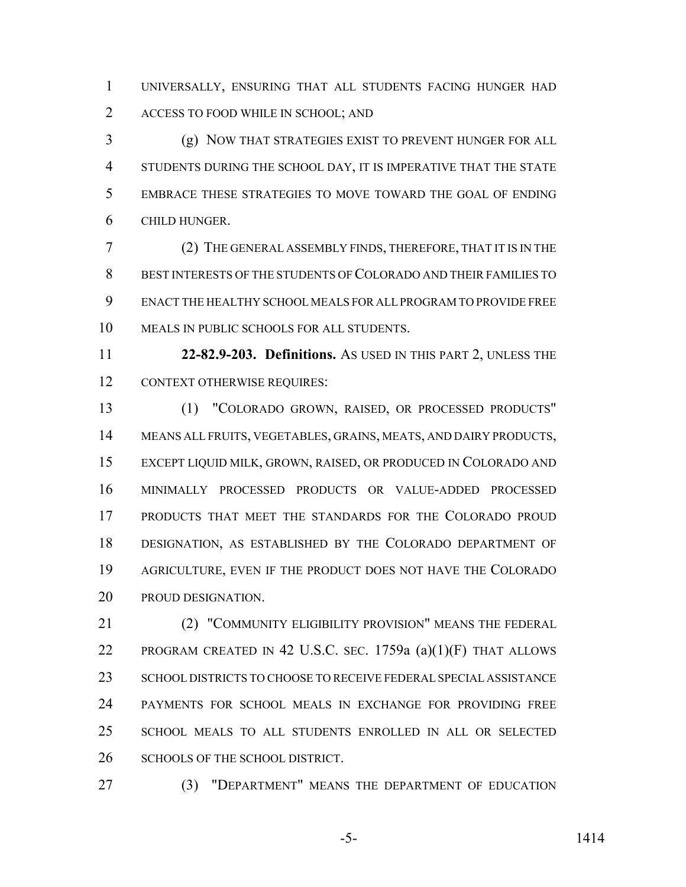UNIVERSALLY, ENSURING THAT ALL STUDENTS FACING HUNGER HAD ACCESS TO FOOD WHILE IN SCHOOL; AND

 (g) NOW THAT STRATEGIES EXIST TO PREVENT HUNGER FOR ALL STUDENTS DURING THE SCHOOL DAY, IT IS IMPERATIVE THAT THE STATE EMBRACE THESE STRATEGIES TO MOVE TOWARD THE GOAL OF ENDING CHILD HUNGER.

 (2) THE GENERAL ASSEMBLY FINDS, THEREFORE, THAT IT IS IN THE BEST INTERESTS OF THE STUDENTS OF COLORADO AND THEIR FAMILIES TO ENACT THE HEALTHY SCHOOL MEALS FOR ALL PROGRAM TO PROVIDE FREE MEALS IN PUBLIC SCHOOLS FOR ALL STUDENTS.

 **22-82.9-203. Definitions.** AS USED IN THIS PART 2, UNLESS THE 12 CONTEXT OTHERWISE REQUIRES:

 (1) "COLORADO GROWN, RAISED, OR PROCESSED PRODUCTS" MEANS ALL FRUITS, VEGETABLES, GRAINS, MEATS, AND DAIRY PRODUCTS, EXCEPT LIQUID MILK, GROWN, RAISED, OR PRODUCED IN COLORADO AND MINIMALLY PROCESSED PRODUCTS OR VALUE-ADDED PROCESSED PRODUCTS THAT MEET THE STANDARDS FOR THE COLORADO PROUD DESIGNATION, AS ESTABLISHED BY THE COLORADO DEPARTMENT OF AGRICULTURE, EVEN IF THE PRODUCT DOES NOT HAVE THE COLORADO PROUD DESIGNATION.

 (2) "COMMUNITY ELIGIBILITY PROVISION" MEANS THE FEDERAL PROGRAM CREATED IN 42 U.S.C. SEC. 1759a (a)(1)(F) THAT ALLOWS SCHOOL DISTRICTS TO CHOOSE TO RECEIVE FEDERAL SPECIAL ASSISTANCE PAYMENTS FOR SCHOOL MEALS IN EXCHANGE FOR PROVIDING FREE SCHOOL MEALS TO ALL STUDENTS ENROLLED IN ALL OR SELECTED 26 SCHOOLS OF THE SCHOOL DISTRICT.

(3) "DEPARTMENT" MEANS THE DEPARTMENT OF EDUCATION

-5- 1414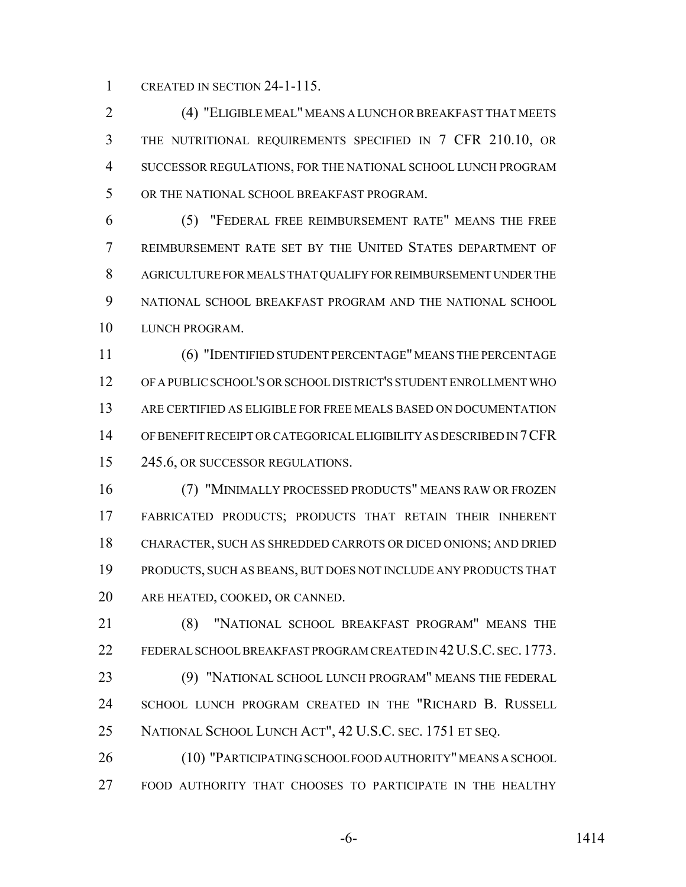CREATED IN SECTION 24-1-115.

 (4) "ELIGIBLE MEAL" MEANS A LUNCH OR BREAKFAST THAT MEETS THE NUTRITIONAL REQUIREMENTS SPECIFIED IN 7 CFR 210.10, OR SUCCESSOR REGULATIONS, FOR THE NATIONAL SCHOOL LUNCH PROGRAM OR THE NATIONAL SCHOOL BREAKFAST PROGRAM.

 (5) "FEDERAL FREE REIMBURSEMENT RATE" MEANS THE FREE REIMBURSEMENT RATE SET BY THE UNITED STATES DEPARTMENT OF AGRICULTURE FOR MEALS THAT QUALIFY FOR REIMBURSEMENT UNDER THE NATIONAL SCHOOL BREAKFAST PROGRAM AND THE NATIONAL SCHOOL LUNCH PROGRAM.

 (6) "IDENTIFIED STUDENT PERCENTAGE" MEANS THE PERCENTAGE OF A PUBLIC SCHOOL'S OR SCHOOL DISTRICT'S STUDENT ENROLLMENT WHO ARE CERTIFIED AS ELIGIBLE FOR FREE MEALS BASED ON DOCUMENTATION OF BENEFIT RECEIPT OR CATEGORICAL ELIGIBILITY AS DESCRIBED IN 7CFR 15 245.6, OR SUCCESSOR REGULATIONS.

 (7) "MINIMALLY PROCESSED PRODUCTS" MEANS RAW OR FROZEN FABRICATED PRODUCTS; PRODUCTS THAT RETAIN THEIR INHERENT CHARACTER, SUCH AS SHREDDED CARROTS OR DICED ONIONS; AND DRIED PRODUCTS, SUCH AS BEANS, BUT DOES NOT INCLUDE ANY PRODUCTS THAT ARE HEATED, COOKED, OR CANNED.

 (8) "NATIONAL SCHOOL BREAKFAST PROGRAM" MEANS THE 22 FEDERAL SCHOOL BREAKFAST PROGRAM CREATED IN 42 U.S.C. SEC. 1773. (9) "NATIONAL SCHOOL LUNCH PROGRAM" MEANS THE FEDERAL SCHOOL LUNCH PROGRAM CREATED IN THE "RICHARD B. RUSSELL NATIONAL SCHOOL LUNCH ACT", 42 U.S.C. SEC. 1751 ET SEQ.

 (10) "PARTICIPATING SCHOOL FOOD AUTHORITY" MEANS A SCHOOL FOOD AUTHORITY THAT CHOOSES TO PARTICIPATE IN THE HEALTHY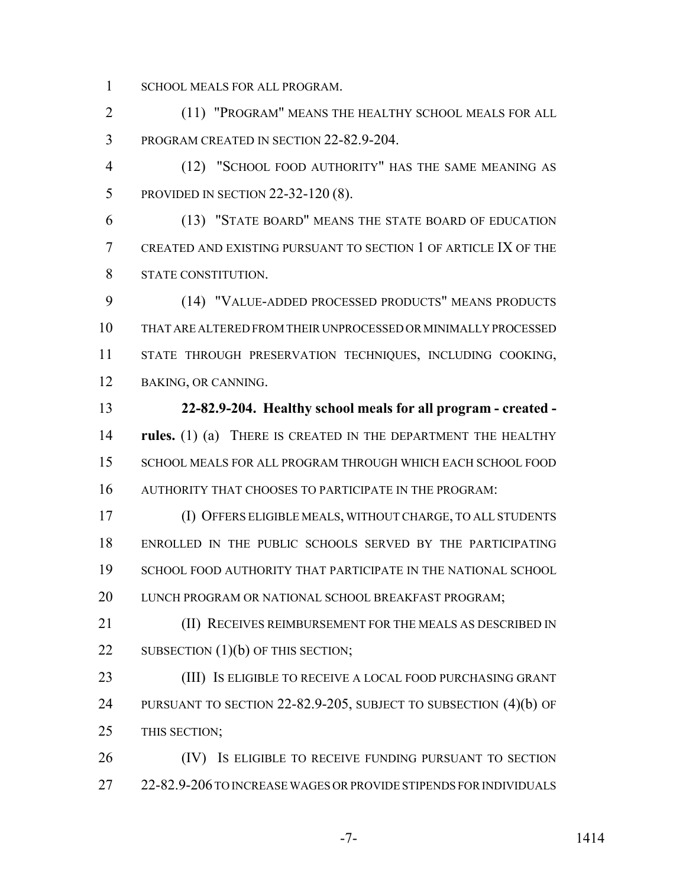SCHOOL MEALS FOR ALL PROGRAM.

 (11) "PROGRAM" MEANS THE HEALTHY SCHOOL MEALS FOR ALL PROGRAM CREATED IN SECTION 22-82.9-204.

 (12) "SCHOOL FOOD AUTHORITY" HAS THE SAME MEANING AS PROVIDED IN SECTION 22-32-120 (8).

 (13) "STATE BOARD" MEANS THE STATE BOARD OF EDUCATION CREATED AND EXISTING PURSUANT TO SECTION 1 OF ARTICLE IX OF THE STATE CONSTITUTION.

 (14) "VALUE-ADDED PROCESSED PRODUCTS" MEANS PRODUCTS THAT ARE ALTERED FROM THEIR UNPROCESSED OR MINIMALLY PROCESSED STATE THROUGH PRESERVATION TECHNIQUES, INCLUDING COOKING, BAKING, OR CANNING.

 **22-82.9-204. Healthy school meals for all program - created - rules.** (1) (a) THERE IS CREATED IN THE DEPARTMENT THE HEALTHY SCHOOL MEALS FOR ALL PROGRAM THROUGH WHICH EACH SCHOOL FOOD AUTHORITY THAT CHOOSES TO PARTICIPATE IN THE PROGRAM:

 (I) OFFERS ELIGIBLE MEALS, WITHOUT CHARGE, TO ALL STUDENTS ENROLLED IN THE PUBLIC SCHOOLS SERVED BY THE PARTICIPATING 19 SCHOOL FOOD AUTHORITY THAT PARTICIPATE IN THE NATIONAL SCHOOL 20 LUNCH PROGRAM OR NATIONAL SCHOOL BREAKFAST PROGRAM;

**(II) RECEIVES REIMBURSEMENT FOR THE MEALS AS DESCRIBED IN** 22 SUBSECTION (1)(b) OF THIS SECTION;

 (III) IS ELIGIBLE TO RECEIVE A LOCAL FOOD PURCHASING GRANT PURSUANT TO SECTION 22-82.9-205, SUBJECT TO SUBSECTION (4)(b) OF THIS SECTION;

26 (IV) Is ELIGIBLE TO RECEIVE FUNDING PURSUANT TO SECTION 27 22-82.9-206 TO INCREASE WAGES OR PROVIDE STIPENDS FOR INDIVIDUALS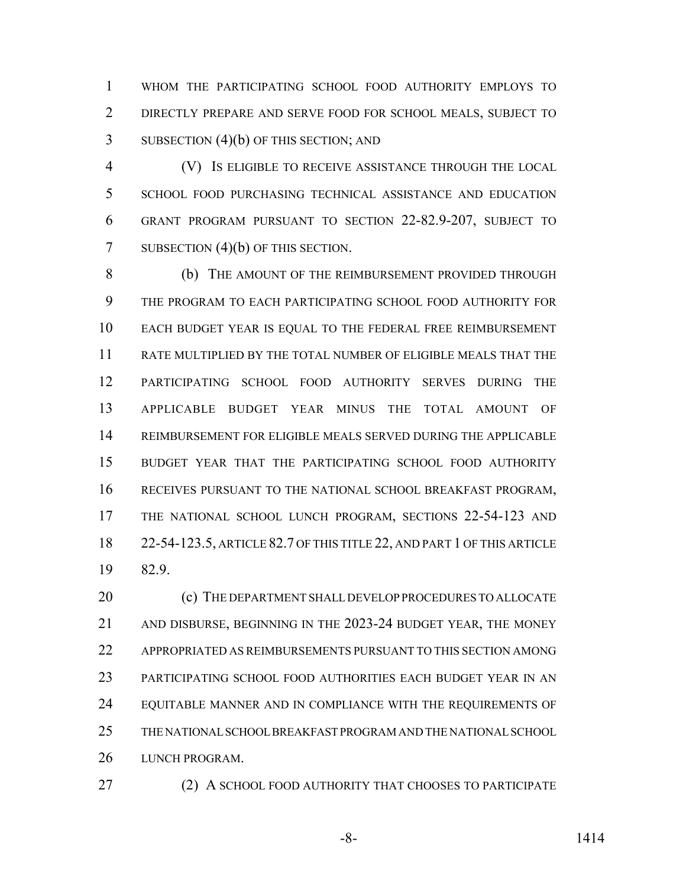WHOM THE PARTICIPATING SCHOOL FOOD AUTHORITY EMPLOYS TO DIRECTLY PREPARE AND SERVE FOOD FOR SCHOOL MEALS, SUBJECT TO 3 SUBSECTION (4)(b) OF THIS SECTION; AND

 (V) IS ELIGIBLE TO RECEIVE ASSISTANCE THROUGH THE LOCAL SCHOOL FOOD PURCHASING TECHNICAL ASSISTANCE AND EDUCATION GRANT PROGRAM PURSUANT TO SECTION 22-82.9-207, SUBJECT TO 7 SUBSECTION (4)(b) OF THIS SECTION.

 (b) THE AMOUNT OF THE REIMBURSEMENT PROVIDED THROUGH THE PROGRAM TO EACH PARTICIPATING SCHOOL FOOD AUTHORITY FOR EACH BUDGET YEAR IS EQUAL TO THE FEDERAL FREE REIMBURSEMENT RATE MULTIPLIED BY THE TOTAL NUMBER OF ELIGIBLE MEALS THAT THE PARTICIPATING SCHOOL FOOD AUTHORITY SERVES DURING THE APPLICABLE BUDGET YEAR MINUS THE TOTAL AMOUNT OF REIMBURSEMENT FOR ELIGIBLE MEALS SERVED DURING THE APPLICABLE BUDGET YEAR THAT THE PARTICIPATING SCHOOL FOOD AUTHORITY RECEIVES PURSUANT TO THE NATIONAL SCHOOL BREAKFAST PROGRAM, THE NATIONAL SCHOOL LUNCH PROGRAM, SECTIONS 22-54-123 AND 22-54-123.5, ARTICLE 82.7 OF THIS TITLE 22, AND PART 1 OF THIS ARTICLE 82.9.

20 (c) THE DEPARTMENT SHALL DEVELOP PROCEDURES TO ALLOCATE AND DISBURSE, BEGINNING IN THE 2023-24 BUDGET YEAR, THE MONEY APPROPRIATED AS REIMBURSEMENTS PURSUANT TO THIS SECTION AMONG PARTICIPATING SCHOOL FOOD AUTHORITIES EACH BUDGET YEAR IN AN EQUITABLE MANNER AND IN COMPLIANCE WITH THE REQUIREMENTS OF THE NATIONAL SCHOOL BREAKFAST PROGRAM AND THE NATIONAL SCHOOL LUNCH PROGRAM.

27 (2) A SCHOOL FOOD AUTHORITY THAT CHOOSES TO PARTICIPATE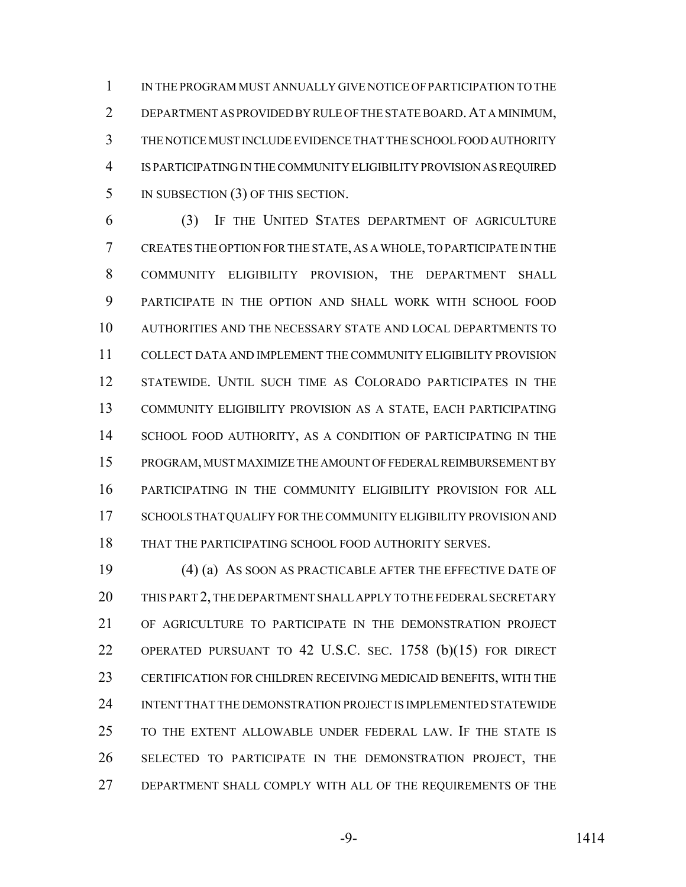IN THE PROGRAM MUST ANNUALLY GIVE NOTICE OF PARTICIPATION TO THE DEPARTMENT AS PROVIDED BY RULE OF THE STATE BOARD.AT A MINIMUM, THE NOTICE MUST INCLUDE EVIDENCE THAT THE SCHOOL FOOD AUTHORITY IS PARTICIPATING IN THE COMMUNITY ELIGIBILITY PROVISION AS REQUIRED 5 IN SUBSECTION (3) OF THIS SECTION.

 (3) IF THE UNITED STATES DEPARTMENT OF AGRICULTURE CREATES THE OPTION FOR THE STATE, AS A WHOLE, TO PARTICIPATE IN THE COMMUNITY ELIGIBILITY PROVISION, THE DEPARTMENT SHALL PARTICIPATE IN THE OPTION AND SHALL WORK WITH SCHOOL FOOD AUTHORITIES AND THE NECESSARY STATE AND LOCAL DEPARTMENTS TO COLLECT DATA AND IMPLEMENT THE COMMUNITY ELIGIBILITY PROVISION STATEWIDE. UNTIL SUCH TIME AS COLORADO PARTICIPATES IN THE COMMUNITY ELIGIBILITY PROVISION AS A STATE, EACH PARTICIPATING SCHOOL FOOD AUTHORITY, AS A CONDITION OF PARTICIPATING IN THE PROGRAM, MUST MAXIMIZE THE AMOUNT OF FEDERAL REIMBURSEMENT BY PARTICIPATING IN THE COMMUNITY ELIGIBILITY PROVISION FOR ALL SCHOOLS THAT QUALIFY FOR THE COMMUNITY ELIGIBILITY PROVISION AND THAT THE PARTICIPATING SCHOOL FOOD AUTHORITY SERVES.

 (4) (a) AS SOON AS PRACTICABLE AFTER THE EFFECTIVE DATE OF THIS PART 2, THE DEPARTMENT SHALL APPLY TO THE FEDERAL SECRETARY OF AGRICULTURE TO PARTICIPATE IN THE DEMONSTRATION PROJECT OPERATED PURSUANT TO 42 U.S.C. SEC. 1758 (b)(15) FOR DIRECT CERTIFICATION FOR CHILDREN RECEIVING MEDICAID BENEFITS, WITH THE INTENT THAT THE DEMONSTRATION PROJECT IS IMPLEMENTED STATEWIDE TO THE EXTENT ALLOWABLE UNDER FEDERAL LAW. IF THE STATE IS SELECTED TO PARTICIPATE IN THE DEMONSTRATION PROJECT, THE DEPARTMENT SHALL COMPLY WITH ALL OF THE REQUIREMENTS OF THE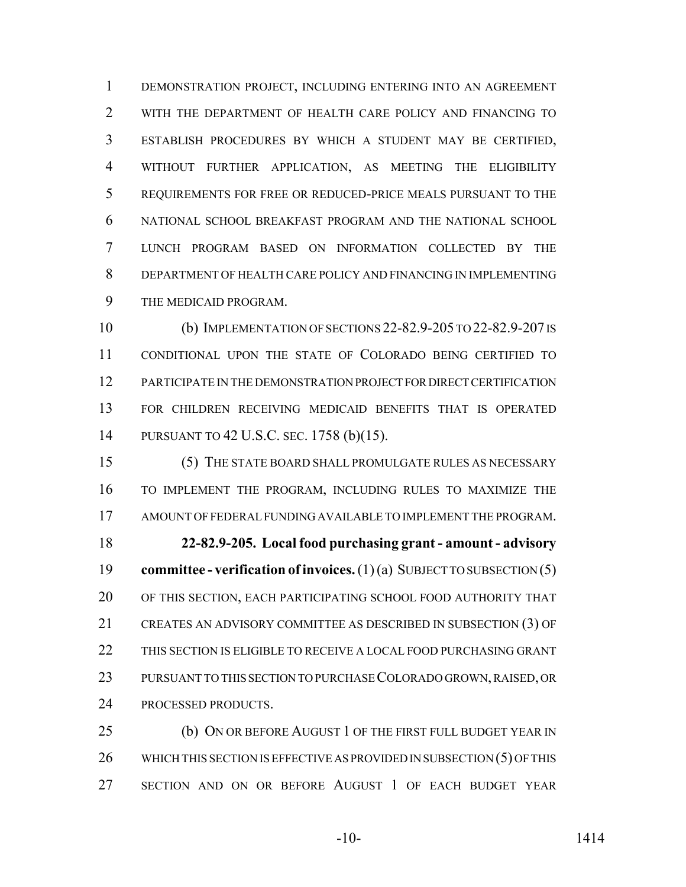DEMONSTRATION PROJECT, INCLUDING ENTERING INTO AN AGREEMENT WITH THE DEPARTMENT OF HEALTH CARE POLICY AND FINANCING TO ESTABLISH PROCEDURES BY WHICH A STUDENT MAY BE CERTIFIED, WITHOUT FURTHER APPLICATION, AS MEETING THE ELIGIBILITY REQUIREMENTS FOR FREE OR REDUCED-PRICE MEALS PURSUANT TO THE NATIONAL SCHOOL BREAKFAST PROGRAM AND THE NATIONAL SCHOOL LUNCH PROGRAM BASED ON INFORMATION COLLECTED BY THE DEPARTMENT OF HEALTH CARE POLICY AND FINANCING IN IMPLEMENTING THE MEDICAID PROGRAM.

 (b) IMPLEMENTATION OF SECTIONS 22-82.9-205 TO 22-82.9-207 IS CONDITIONAL UPON THE STATE OF COLORADO BEING CERTIFIED TO PARTICIPATE IN THE DEMONSTRATION PROJECT FOR DIRECT CERTIFICATION FOR CHILDREN RECEIVING MEDICAID BENEFITS THAT IS OPERATED PURSUANT TO 42 U.S.C. SEC. 1758 (b)(15).

 (5) THE STATE BOARD SHALL PROMULGATE RULES AS NECESSARY TO IMPLEMENT THE PROGRAM, INCLUDING RULES TO MAXIMIZE THE AMOUNT OF FEDERAL FUNDING AVAILABLE TO IMPLEMENT THE PROGRAM. **22-82.9-205. Local food purchasing grant - amount - advisory committee - verification of invoices.** (1) (a) SUBJECT TO SUBSECTION (5) OF THIS SECTION, EACH PARTICIPATING SCHOOL FOOD AUTHORITY THAT CREATES AN ADVISORY COMMITTEE AS DESCRIBED IN SUBSECTION (3) OF THIS SECTION IS ELIGIBLE TO RECEIVE A LOCAL FOOD PURCHASING GRANT PURSUANT TO THIS SECTION TO PURCHASE COLORADO GROWN, RAISED, OR PROCESSED PRODUCTS.

**(b) ON OR BEFORE AUGUST 1 OF THE FIRST FULL BUDGET YEAR IN** 26 WHICH THIS SECTION IS EFFECTIVE AS PROVIDED IN SUBSECTION (5) OF THIS SECTION AND ON OR BEFORE AUGUST 1 OF EACH BUDGET YEAR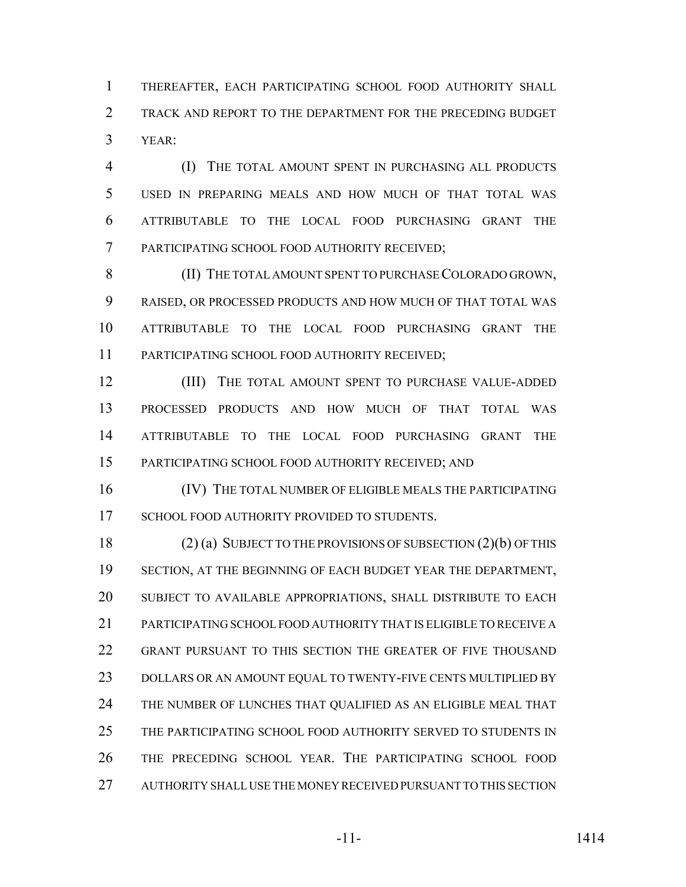THEREAFTER, EACH PARTICIPATING SCHOOL FOOD AUTHORITY SHALL TRACK AND REPORT TO THE DEPARTMENT FOR THE PRECEDING BUDGET YEAR:

 (I) THE TOTAL AMOUNT SPENT IN PURCHASING ALL PRODUCTS USED IN PREPARING MEALS AND HOW MUCH OF THAT TOTAL WAS ATTRIBUTABLE TO THE LOCAL FOOD PURCHASING GRANT THE PARTICIPATING SCHOOL FOOD AUTHORITY RECEIVED;

8 (II) THE TOTAL AMOUNT SPENT TO PURCHASE COLORADO GROWN, RAISED, OR PROCESSED PRODUCTS AND HOW MUCH OF THAT TOTAL WAS ATTRIBUTABLE TO THE LOCAL FOOD PURCHASING GRANT THE PARTICIPATING SCHOOL FOOD AUTHORITY RECEIVED;

12 (III) THE TOTAL AMOUNT SPENT TO PURCHASE VALUE-ADDED PROCESSED PRODUCTS AND HOW MUCH OF THAT TOTAL WAS ATTRIBUTABLE TO THE LOCAL FOOD PURCHASING GRANT THE PARTICIPATING SCHOOL FOOD AUTHORITY RECEIVED; AND

 (IV) THE TOTAL NUMBER OF ELIGIBLE MEALS THE PARTICIPATING 17 SCHOOL FOOD AUTHORITY PROVIDED TO STUDENTS.

 (2) (a) SUBJECT TO THE PROVISIONS OF SUBSECTION (2)(b) OF THIS 19 SECTION, AT THE BEGINNING OF EACH BUDGET YEAR THE DEPARTMENT, SUBJECT TO AVAILABLE APPROPRIATIONS, SHALL DISTRIBUTE TO EACH PARTICIPATING SCHOOL FOOD AUTHORITY THAT IS ELIGIBLE TO RECEIVE A GRANT PURSUANT TO THIS SECTION THE GREATER OF FIVE THOUSAND DOLLARS OR AN AMOUNT EQUAL TO TWENTY-FIVE CENTS MULTIPLIED BY THE NUMBER OF LUNCHES THAT QUALIFIED AS AN ELIGIBLE MEAL THAT THE PARTICIPATING SCHOOL FOOD AUTHORITY SERVED TO STUDENTS IN THE PRECEDING SCHOOL YEAR. THE PARTICIPATING SCHOOL FOOD AUTHORITY SHALL USE THE MONEY RECEIVED PURSUANT TO THIS SECTION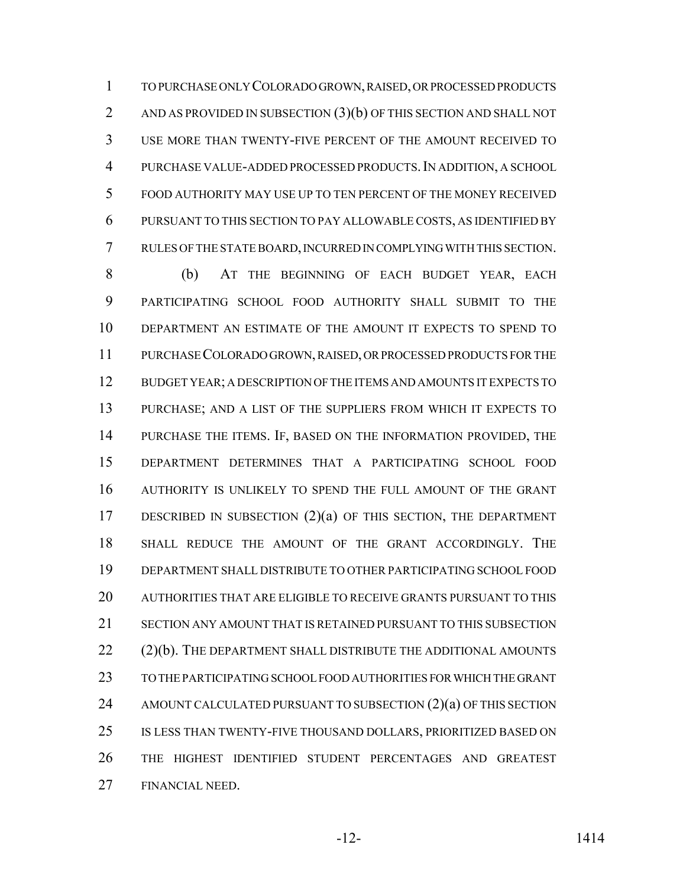TO PURCHASE ONLY COLORADO GROWN, RAISED, OR PROCESSED PRODUCTS 2 AND AS PROVIDED IN SUBSECTION (3)(b) OF THIS SECTION AND SHALL NOT USE MORE THAN TWENTY-FIVE PERCENT OF THE AMOUNT RECEIVED TO PURCHASE VALUE-ADDED PROCESSED PRODUCTS.IN ADDITION, A SCHOOL FOOD AUTHORITY MAY USE UP TO TEN PERCENT OF THE MONEY RECEIVED PURSUANT TO THIS SECTION TO PAY ALLOWABLE COSTS, AS IDENTIFIED BY RULES OF THE STATE BOARD, INCURRED IN COMPLYING WITH THIS SECTION.

 (b) AT THE BEGINNING OF EACH BUDGET YEAR, EACH PARTICIPATING SCHOOL FOOD AUTHORITY SHALL SUBMIT TO THE DEPARTMENT AN ESTIMATE OF THE AMOUNT IT EXPECTS TO SPEND TO PURCHASE COLORADO GROWN, RAISED, OR PROCESSED PRODUCTS FOR THE BUDGET YEAR; A DESCRIPTION OF THE ITEMS AND AMOUNTS IT EXPECTS TO PURCHASE; AND A LIST OF THE SUPPLIERS FROM WHICH IT EXPECTS TO PURCHASE THE ITEMS. IF, BASED ON THE INFORMATION PROVIDED, THE DEPARTMENT DETERMINES THAT A PARTICIPATING SCHOOL FOOD AUTHORITY IS UNLIKELY TO SPEND THE FULL AMOUNT OF THE GRANT DESCRIBED IN SUBSECTION (2)(a) OF THIS SECTION, THE DEPARTMENT SHALL REDUCE THE AMOUNT OF THE GRANT ACCORDINGLY. THE DEPARTMENT SHALL DISTRIBUTE TO OTHER PARTICIPATING SCHOOL FOOD AUTHORITIES THAT ARE ELIGIBLE TO RECEIVE GRANTS PURSUANT TO THIS SECTION ANY AMOUNT THAT IS RETAINED PURSUANT TO THIS SUBSECTION 22 (2)(b). THE DEPARTMENT SHALL DISTRIBUTE THE ADDITIONAL AMOUNTS TO THE PARTICIPATING SCHOOL FOOD AUTHORITIES FOR WHICH THE GRANT 24 AMOUNT CALCULATED PURSUANT TO SUBSECTION (2)(a) OF THIS SECTION IS LESS THAN TWENTY-FIVE THOUSAND DOLLARS, PRIORITIZED BASED ON THE HIGHEST IDENTIFIED STUDENT PERCENTAGES AND GREATEST FINANCIAL NEED.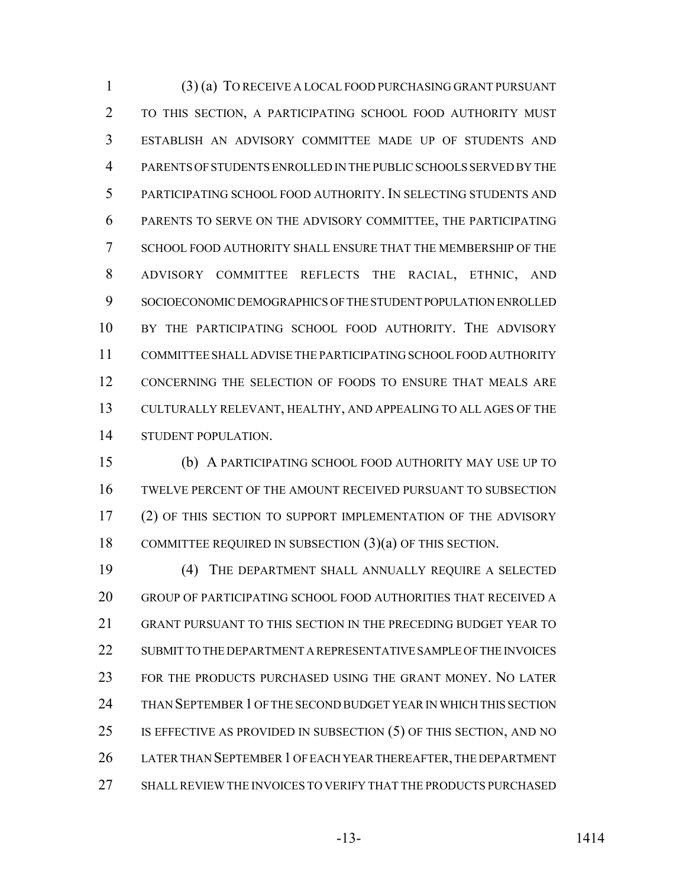(3) (a) TO RECEIVE A LOCAL FOOD PURCHASING GRANT PURSUANT TO THIS SECTION, A PARTICIPATING SCHOOL FOOD AUTHORITY MUST ESTABLISH AN ADVISORY COMMITTEE MADE UP OF STUDENTS AND PARENTS OF STUDENTS ENROLLED IN THE PUBLIC SCHOOLS SERVED BY THE PARTICIPATING SCHOOL FOOD AUTHORITY. IN SELECTING STUDENTS AND PARENTS TO SERVE ON THE ADVISORY COMMITTEE, THE PARTICIPATING SCHOOL FOOD AUTHORITY SHALL ENSURE THAT THE MEMBERSHIP OF THE ADVISORY COMMITTEE REFLECTS THE RACIAL, ETHNIC, AND SOCIOECONOMIC DEMOGRAPHICS OF THE STUDENT POPULATION ENROLLED BY THE PARTICIPATING SCHOOL FOOD AUTHORITY. THE ADVISORY COMMITTEE SHALL ADVISE THE PARTICIPATING SCHOOL FOOD AUTHORITY CONCERNING THE SELECTION OF FOODS TO ENSURE THAT MEALS ARE CULTURALLY RELEVANT, HEALTHY, AND APPEALING TO ALL AGES OF THE STUDENT POPULATION.

 (b) A PARTICIPATING SCHOOL FOOD AUTHORITY MAY USE UP TO TWELVE PERCENT OF THE AMOUNT RECEIVED PURSUANT TO SUBSECTION (2) OF THIS SECTION TO SUPPORT IMPLEMENTATION OF THE ADVISORY 18 COMMITTEE REQUIRED IN SUBSECTION (3)(a) OF THIS SECTION.

 (4) THE DEPARTMENT SHALL ANNUALLY REQUIRE A SELECTED GROUP OF PARTICIPATING SCHOOL FOOD AUTHORITIES THAT RECEIVED A GRANT PURSUANT TO THIS SECTION IN THE PRECEDING BUDGET YEAR TO 22 SUBMIT TO THE DEPARTMENT A REPRESENTATIVE SAMPLE OF THE INVOICES FOR THE PRODUCTS PURCHASED USING THE GRANT MONEY. NO LATER THAN SEPTEMBER 1 OF THE SECOND BUDGET YEAR IN WHICH THIS SECTION IS EFFECTIVE AS PROVIDED IN SUBSECTION (5) OF THIS SECTION, AND NO LATER THAN SEPTEMBER 1 OF EACH YEAR THEREAFTER, THE DEPARTMENT SHALL REVIEW THE INVOICES TO VERIFY THAT THE PRODUCTS PURCHASED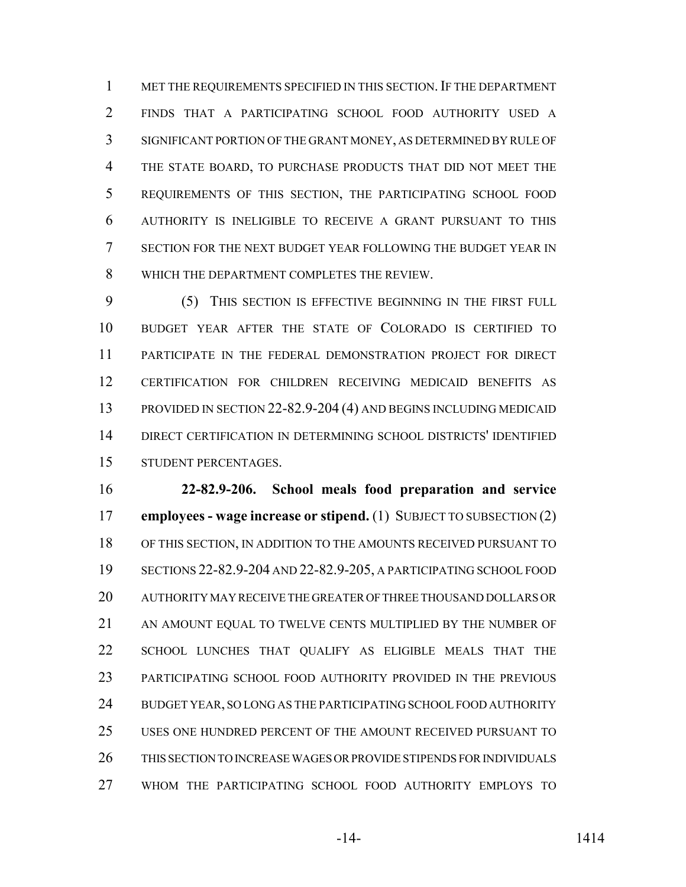1 MET THE REQUIREMENTS SPECIFIED IN THIS SECTION. IF THE DEPARTMENT FINDS THAT A PARTICIPATING SCHOOL FOOD AUTHORITY USED A SIGNIFICANT PORTION OF THE GRANT MONEY, AS DETERMINED BY RULE OF THE STATE BOARD, TO PURCHASE PRODUCTS THAT DID NOT MEET THE REQUIREMENTS OF THIS SECTION, THE PARTICIPATING SCHOOL FOOD AUTHORITY IS INELIGIBLE TO RECEIVE A GRANT PURSUANT TO THIS SECTION FOR THE NEXT BUDGET YEAR FOLLOWING THE BUDGET YEAR IN WHICH THE DEPARTMENT COMPLETES THE REVIEW.

 (5) THIS SECTION IS EFFECTIVE BEGINNING IN THE FIRST FULL BUDGET YEAR AFTER THE STATE OF COLORADO IS CERTIFIED TO PARTICIPATE IN THE FEDERAL DEMONSTRATION PROJECT FOR DIRECT CERTIFICATION FOR CHILDREN RECEIVING MEDICAID BENEFITS AS PROVIDED IN SECTION 22-82.9-204 (4) AND BEGINS INCLUDING MEDICAID DIRECT CERTIFICATION IN DETERMINING SCHOOL DISTRICTS' IDENTIFIED STUDENT PERCENTAGES.

 **22-82.9-206. School meals food preparation and service employees - wage increase or stipend.** (1) SUBJECT TO SUBSECTION (2) OF THIS SECTION, IN ADDITION TO THE AMOUNTS RECEIVED PURSUANT TO SECTIONS 22-82.9-204 AND 22-82.9-205, A PARTICIPATING SCHOOL FOOD AUTHORITY MAY RECEIVE THE GREATER OF THREE THOUSAND DOLLARS OR AN AMOUNT EQUAL TO TWELVE CENTS MULTIPLIED BY THE NUMBER OF SCHOOL LUNCHES THAT QUALIFY AS ELIGIBLE MEALS THAT THE PARTICIPATING SCHOOL FOOD AUTHORITY PROVIDED IN THE PREVIOUS BUDGET YEAR, SO LONG AS THE PARTICIPATING SCHOOL FOOD AUTHORITY USES ONE HUNDRED PERCENT OF THE AMOUNT RECEIVED PURSUANT TO THIS SECTION TO INCREASE WAGES OR PROVIDE STIPENDS FOR INDIVIDUALS WHOM THE PARTICIPATING SCHOOL FOOD AUTHORITY EMPLOYS TO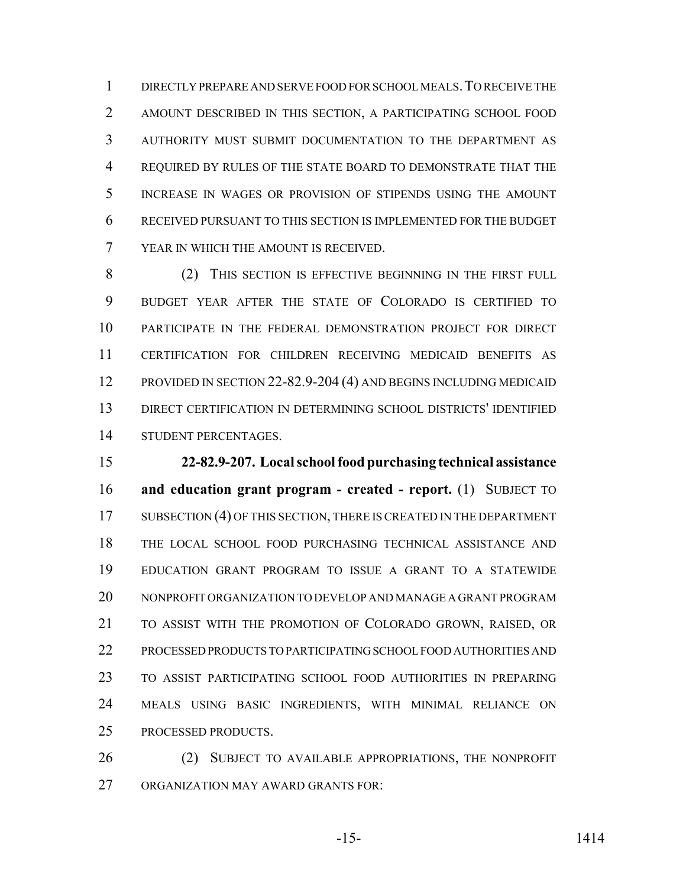DIRECTLY PREPARE AND SERVE FOOD FOR SCHOOL MEALS.TO RECEIVE THE AMOUNT DESCRIBED IN THIS SECTION, A PARTICIPATING SCHOOL FOOD AUTHORITY MUST SUBMIT DOCUMENTATION TO THE DEPARTMENT AS REQUIRED BY RULES OF THE STATE BOARD TO DEMONSTRATE THAT THE INCREASE IN WAGES OR PROVISION OF STIPENDS USING THE AMOUNT RECEIVED PURSUANT TO THIS SECTION IS IMPLEMENTED FOR THE BUDGET YEAR IN WHICH THE AMOUNT IS RECEIVED.

8 (2) THIS SECTION IS EFFECTIVE BEGINNING IN THE FIRST FULL BUDGET YEAR AFTER THE STATE OF COLORADO IS CERTIFIED TO PARTICIPATE IN THE FEDERAL DEMONSTRATION PROJECT FOR DIRECT CERTIFICATION FOR CHILDREN RECEIVING MEDICAID BENEFITS AS 12 PROVIDED IN SECTION 22-82.9-204 (4) AND BEGINS INCLUDING MEDICAID DIRECT CERTIFICATION IN DETERMINING SCHOOL DISTRICTS' IDENTIFIED STUDENT PERCENTAGES.

 **22-82.9-207. Local school food purchasing technical assistance and education grant program - created - report.** (1) SUBJECT TO 17 SUBSECTION (4) OF THIS SECTION, THERE IS CREATED IN THE DEPARTMENT THE LOCAL SCHOOL FOOD PURCHASING TECHNICAL ASSISTANCE AND EDUCATION GRANT PROGRAM TO ISSUE A GRANT TO A STATEWIDE NONPROFIT ORGANIZATION TO DEVELOP AND MANAGE A GRANT PROGRAM TO ASSIST WITH THE PROMOTION OF COLORADO GROWN, RAISED, OR PROCESSED PRODUCTS TO PARTICIPATING SCHOOL FOOD AUTHORITIES AND TO ASSIST PARTICIPATING SCHOOL FOOD AUTHORITIES IN PREPARING MEALS USING BASIC INGREDIENTS, WITH MINIMAL RELIANCE ON PROCESSED PRODUCTS.

26 (2) SUBJECT TO AVAILABLE APPROPRIATIONS, THE NONPROFIT ORGANIZATION MAY AWARD GRANTS FOR: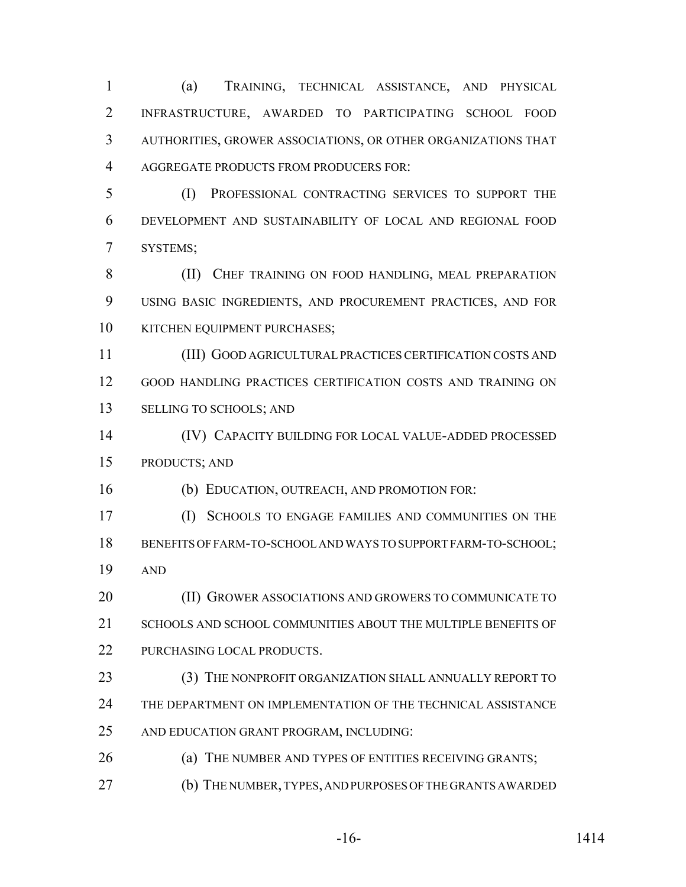(a) TRAINING, TECHNICAL ASSISTANCE, AND PHYSICAL INFRASTRUCTURE, AWARDED TO PARTICIPATING SCHOOL FOOD AUTHORITIES, GROWER ASSOCIATIONS, OR OTHER ORGANIZATIONS THAT AGGREGATE PRODUCTS FROM PRODUCERS FOR:

 (I) PROFESSIONAL CONTRACTING SERVICES TO SUPPORT THE DEVELOPMENT AND SUSTAINABILITY OF LOCAL AND REGIONAL FOOD SYSTEMS;

8 (II) CHEF TRAINING ON FOOD HANDLING, MEAL PREPARATION USING BASIC INGREDIENTS, AND PROCUREMENT PRACTICES, AND FOR 10 KITCHEN EQUIPMENT PURCHASES;

 (III) GOOD AGRICULTURAL PRACTICES CERTIFICATION COSTS AND GOOD HANDLING PRACTICES CERTIFICATION COSTS AND TRAINING ON SELLING TO SCHOOLS; AND

 (IV) CAPACITY BUILDING FOR LOCAL VALUE-ADDED PROCESSED PRODUCTS; AND

(b) EDUCATION, OUTREACH, AND PROMOTION FOR:

 (I) SCHOOLS TO ENGAGE FAMILIES AND COMMUNITIES ON THE BENEFITS OF FARM-TO-SCHOOL AND WAYS TO SUPPORT FARM-TO-SCHOOL; AND

20 (II) GROWER ASSOCIATIONS AND GROWERS TO COMMUNICATE TO 21 SCHOOLS AND SCHOOL COMMUNITIES ABOUT THE MULTIPLE BENEFITS OF PURCHASING LOCAL PRODUCTS.

23 (3) THE NONPROFIT ORGANIZATION SHALL ANNUALLY REPORT TO

THE DEPARTMENT ON IMPLEMENTATION OF THE TECHNICAL ASSISTANCE

AND EDUCATION GRANT PROGRAM, INCLUDING:

26 (a) THE NUMBER AND TYPES OF ENTITIES RECEIVING GRANTS;

(b) THE NUMBER, TYPES, AND PURPOSES OF THE GRANTS AWARDED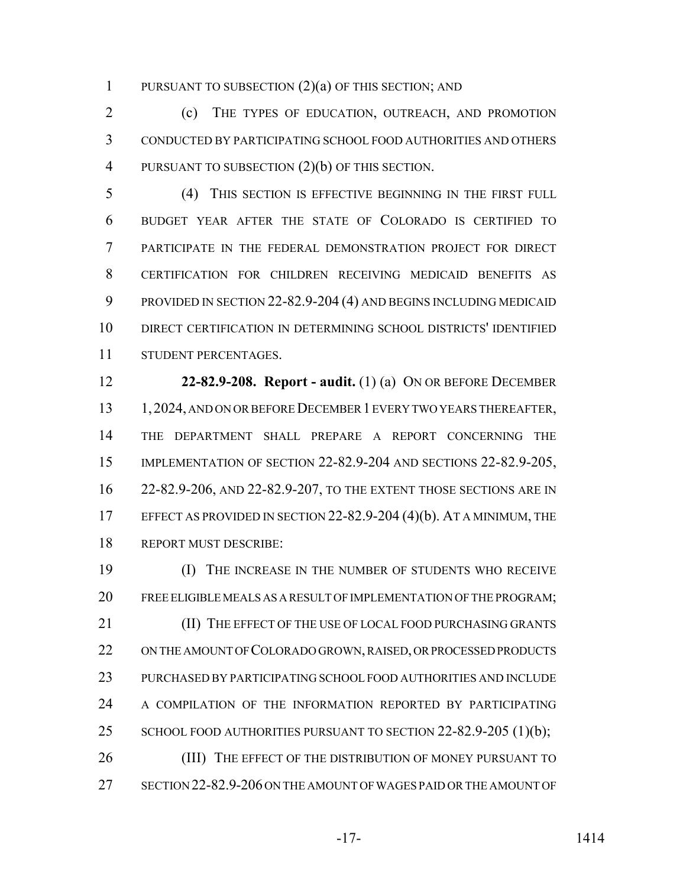1 PURSUANT TO SUBSECTION  $(2)(a)$  OF THIS SECTION; AND

 (c) THE TYPES OF EDUCATION, OUTREACH, AND PROMOTION CONDUCTED BY PARTICIPATING SCHOOL FOOD AUTHORITIES AND OTHERS 4 PURSUANT TO SUBSECTION  $(2)(b)$  OF THIS SECTION.

 (4) THIS SECTION IS EFFECTIVE BEGINNING IN THE FIRST FULL BUDGET YEAR AFTER THE STATE OF COLORADO IS CERTIFIED TO PARTICIPATE IN THE FEDERAL DEMONSTRATION PROJECT FOR DIRECT CERTIFICATION FOR CHILDREN RECEIVING MEDICAID BENEFITS AS PROVIDED IN SECTION 22-82.9-204 (4) AND BEGINS INCLUDING MEDICAID DIRECT CERTIFICATION IN DETERMINING SCHOOL DISTRICTS' IDENTIFIED STUDENT PERCENTAGES.

 **22-82.9-208. Report - audit.** (1) (a) ON OR BEFORE DECEMBER 13 1, 2024, AND ON OR BEFORE DECEMBER 1 EVERY TWO YEARS THEREAFTER, THE DEPARTMENT SHALL PREPARE A REPORT CONCERNING THE IMPLEMENTATION OF SECTION 22-82.9-204 AND SECTIONS 22-82.9-205, 22-82.9-206, AND 22-82.9-207, TO THE EXTENT THOSE SECTIONS ARE IN 17 EFFECT AS PROVIDED IN SECTION 22-82.9-204 (4)(b). AT A MINIMUM, THE REPORT MUST DESCRIBE:

 (I) THE INCREASE IN THE NUMBER OF STUDENTS WHO RECEIVE FREE ELIGIBLE MEALS AS A RESULT OF IMPLEMENTATION OF THE PROGRAM; 21 (II) THE EFFECT OF THE USE OF LOCAL FOOD PURCHASING GRANTS 22 ON THE AMOUNT OF COLORADO GROWN, RAISED, OR PROCESSED PRODUCTS PURCHASED BY PARTICIPATING SCHOOL FOOD AUTHORITIES AND INCLUDE 24 A COMPILATION OF THE INFORMATION REPORTED BY PARTICIPATING 25 SCHOOL FOOD AUTHORITIES PURSUANT TO SECTION 22-82.9-205 (1)(b); 26 (III) THE EFFECT OF THE DISTRIBUTION OF MONEY PURSUANT TO SECTION 22-82.9-206 ON THE AMOUNT OF WAGES PAID OR THE AMOUNT OF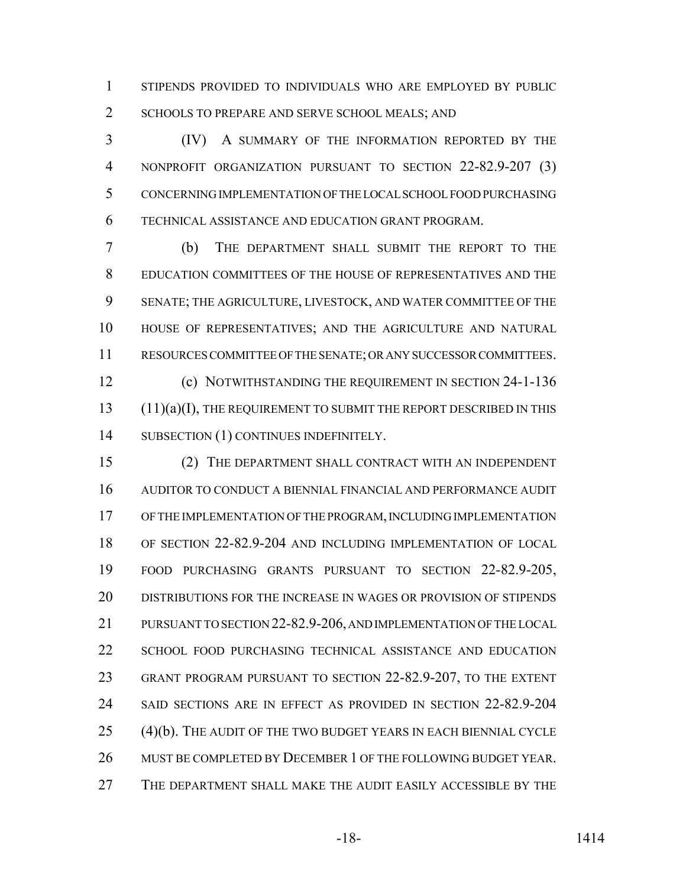STIPENDS PROVIDED TO INDIVIDUALS WHO ARE EMPLOYED BY PUBLIC 2 SCHOOLS TO PREPARE AND SERVE SCHOOL MEALS; AND

 (IV) A SUMMARY OF THE INFORMATION REPORTED BY THE NONPROFIT ORGANIZATION PURSUANT TO SECTION 22-82.9-207 (3) CONCERNING IMPLEMENTATION OF THE LOCAL SCHOOL FOOD PURCHASING TECHNICAL ASSISTANCE AND EDUCATION GRANT PROGRAM.

 (b) THE DEPARTMENT SHALL SUBMIT THE REPORT TO THE EDUCATION COMMITTEES OF THE HOUSE OF REPRESENTATIVES AND THE SENATE; THE AGRICULTURE, LIVESTOCK, AND WATER COMMITTEE OF THE HOUSE OF REPRESENTATIVES; AND THE AGRICULTURE AND NATURAL RESOURCES COMMITTEE OF THE SENATE; OR ANY SUCCESSOR COMMITTEES. (c) NOTWITHSTANDING THE REQUIREMENT IN SECTION 24-1-136

13 (11)(a)(I), THE REQUIREMENT TO SUBMIT THE REPORT DESCRIBED IN THIS 14 SUBSECTION (1) CONTINUES INDEFINITELY.

 (2) THE DEPARTMENT SHALL CONTRACT WITH AN INDEPENDENT AUDITOR TO CONDUCT A BIENNIAL FINANCIAL AND PERFORMANCE AUDIT OF THE IMPLEMENTATION OF THE PROGRAM, INCLUDING IMPLEMENTATION OF SECTION 22-82.9-204 AND INCLUDING IMPLEMENTATION OF LOCAL FOOD PURCHASING GRANTS PURSUANT TO SECTION 22-82.9-205, DISTRIBUTIONS FOR THE INCREASE IN WAGES OR PROVISION OF STIPENDS PURSUANT TO SECTION 22-82.9-206, AND IMPLEMENTATION OF THE LOCAL SCHOOL FOOD PURCHASING TECHNICAL ASSISTANCE AND EDUCATION GRANT PROGRAM PURSUANT TO SECTION 22-82.9-207, TO THE EXTENT SAID SECTIONS ARE IN EFFECT AS PROVIDED IN SECTION 22-82.9-204 (4)(b). THE AUDIT OF THE TWO BUDGET YEARS IN EACH BIENNIAL CYCLE 26 MUST BE COMPLETED BY DECEMBER 1 OF THE FOLLOWING BUDGET YEAR. THE DEPARTMENT SHALL MAKE THE AUDIT EASILY ACCESSIBLE BY THE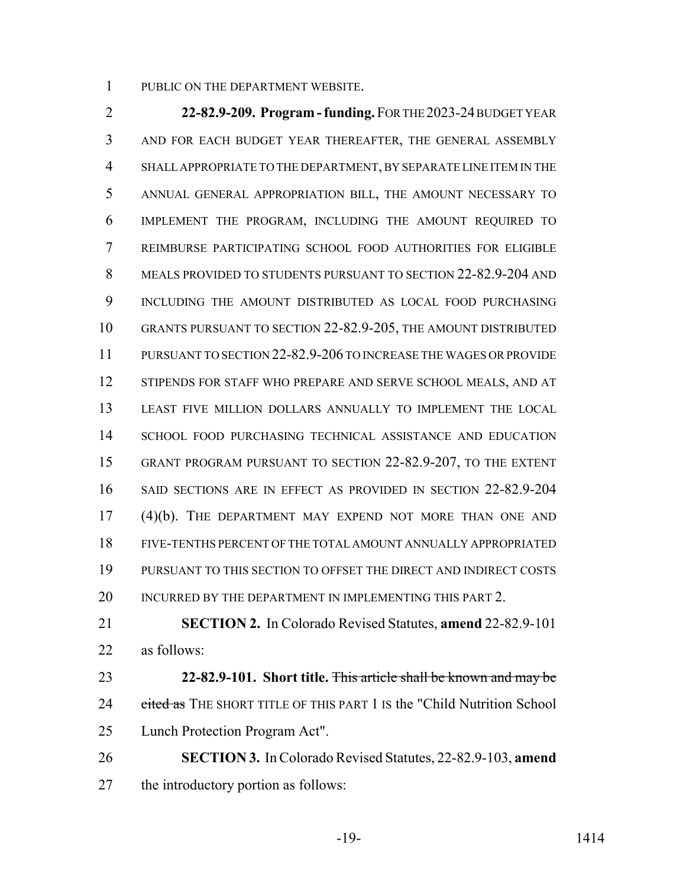PUBLIC ON THE DEPARTMENT WEBSITE.

 **22-82.9-209. Program - funding.** FOR THE 2023-24 BUDGET YEAR AND FOR EACH BUDGET YEAR THEREAFTER, THE GENERAL ASSEMBLY SHALL APPROPRIATE TO THE DEPARTMENT, BY SEPARATE LINE ITEM IN THE ANNUAL GENERAL APPROPRIATION BILL, THE AMOUNT NECESSARY TO IMPLEMENT THE PROGRAM, INCLUDING THE AMOUNT REQUIRED TO REIMBURSE PARTICIPATING SCHOOL FOOD AUTHORITIES FOR ELIGIBLE MEALS PROVIDED TO STUDENTS PURSUANT TO SECTION 22-82.9-204 AND INCLUDING THE AMOUNT DISTRIBUTED AS LOCAL FOOD PURCHASING GRANTS PURSUANT TO SECTION 22-82.9-205, THE AMOUNT DISTRIBUTED PURSUANT TO SECTION 22-82.9-206 TO INCREASE THE WAGES OR PROVIDE STIPENDS FOR STAFF WHO PREPARE AND SERVE SCHOOL MEALS, AND AT LEAST FIVE MILLION DOLLARS ANNUALLY TO IMPLEMENT THE LOCAL SCHOOL FOOD PURCHASING TECHNICAL ASSISTANCE AND EDUCATION GRANT PROGRAM PURSUANT TO SECTION 22-82.9-207, TO THE EXTENT SAID SECTIONS ARE IN EFFECT AS PROVIDED IN SECTION 22-82.9-204 (4)(b). THE DEPARTMENT MAY EXPEND NOT MORE THAN ONE AND FIVE-TENTHS PERCENT OF THE TOTAL AMOUNT ANNUALLY APPROPRIATED PURSUANT TO THIS SECTION TO OFFSET THE DIRECT AND INDIRECT COSTS 20 INCURRED BY THE DEPARTMENT IN IMPLEMENTING THIS PART 2.

 **SECTION 2.** In Colorado Revised Statutes, **amend** 22-82.9-101 as follows:

 **22-82.9-101. Short title.** This article shall be known and may be 24 cited as THE SHORT TITLE OF THIS PART 1 IS the "Child Nutrition School Lunch Protection Program Act".

 **SECTION 3.** In Colorado Revised Statutes, 22-82.9-103, **amend** the introductory portion as follows: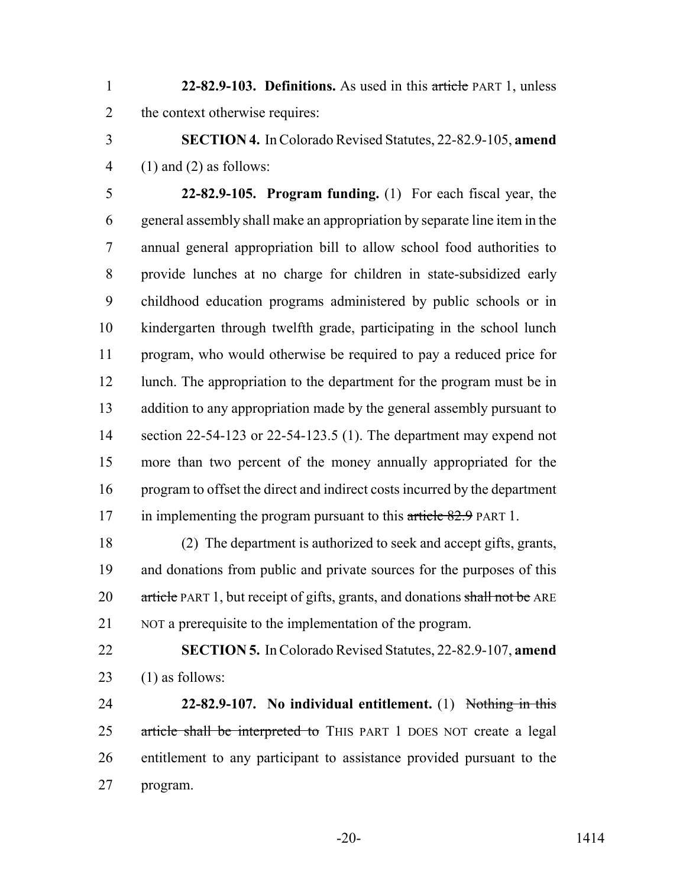**22-82.9-103. Definitions.** As used in this article PART 1, unless 2 the context otherwise requires:

 **SECTION 4.** In Colorado Revised Statutes, 22-82.9-105, **amend** 4 (1) and (2) as follows:

 **22-82.9-105. Program funding.** (1) For each fiscal year, the general assembly shall make an appropriation by separate line item in the annual general appropriation bill to allow school food authorities to provide lunches at no charge for children in state-subsidized early childhood education programs administered by public schools or in kindergarten through twelfth grade, participating in the school lunch program, who would otherwise be required to pay a reduced price for 12 lunch. The appropriation to the department for the program must be in 13 addition to any appropriation made by the general assembly pursuant to section 22-54-123 or 22-54-123.5 (1). The department may expend not more than two percent of the money annually appropriated for the program to offset the direct and indirect costs incurred by the department 17 in implementing the program pursuant to this article 82.9 PART 1.

 (2) The department is authorized to seek and accept gifts, grants, and donations from public and private sources for the purposes of this 20 article PART 1, but receipt of gifts, grants, and donations shall not be ARE NOT a prerequisite to the implementation of the program.

 **SECTION 5.** In Colorado Revised Statutes, 22-82.9-107, **amend** 23  $(1)$  as follows:

 **22-82.9-107. No individual entitlement.** (1) Nothing in this 25 article shall be interpreted to THIS PART 1 DOES NOT create a legal entitlement to any participant to assistance provided pursuant to the program.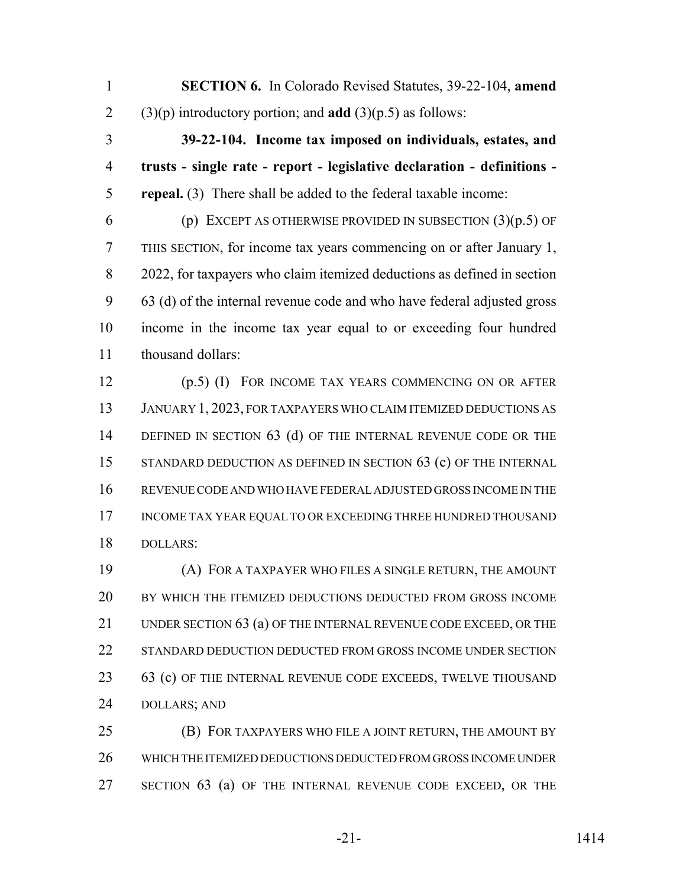**SECTION 6.** In Colorado Revised Statutes, 39-22-104, **amend** (3)(p) introductory portion; and **add** (3)(p.5) as follows:

 **39-22-104. Income tax imposed on individuals, estates, and trusts - single rate - report - legislative declaration - definitions - repeal.** (3) There shall be added to the federal taxable income:

6 (p) EXCEPT AS OTHERWISE PROVIDED IN SUBSECTION  $(3)(p.5)$  OF THIS SECTION, for income tax years commencing on or after January 1, 2022, for taxpayers who claim itemized deductions as defined in section 63 (d) of the internal revenue code and who have federal adjusted gross income in the income tax year equal to or exceeding four hundred thousand dollars:

 (p.5) (I) FOR INCOME TAX YEARS COMMENCING ON OR AFTER JANUARY 1, 2023, FOR TAXPAYERS WHO CLAIM ITEMIZED DEDUCTIONS AS 14 DEFINED IN SECTION 63 (d) OF THE INTERNAL REVENUE CODE OR THE 15 STANDARD DEDUCTION AS DEFINED IN SECTION 63 (c) OF THE INTERNAL REVENUE CODE AND WHO HAVE FEDERAL ADJUSTED GROSS INCOME IN THE 17 INCOME TAX YEAR EQUAL TO OR EXCEEDING THREE HUNDRED THOUSAND DOLLARS:

 (A) FOR A TAXPAYER WHO FILES A SINGLE RETURN, THE AMOUNT BY WHICH THE ITEMIZED DEDUCTIONS DEDUCTED FROM GROSS INCOME 21 UNDER SECTION 63 (a) OF THE INTERNAL REVENUE CODE EXCEED, OR THE 22 STANDARD DEDUCTION DEDUCTED FROM GROSS INCOME UNDER SECTION 23 63 (c) OF THE INTERNAL REVENUE CODE EXCEEDS, TWELVE THOUSAND DOLLARS; AND

 (B) FOR TAXPAYERS WHO FILE A JOINT RETURN, THE AMOUNT BY WHICH THE ITEMIZED DEDUCTIONS DEDUCTED FROM GROSS INCOME UNDER SECTION 63 (a) OF THE INTERNAL REVENUE CODE EXCEED, OR THE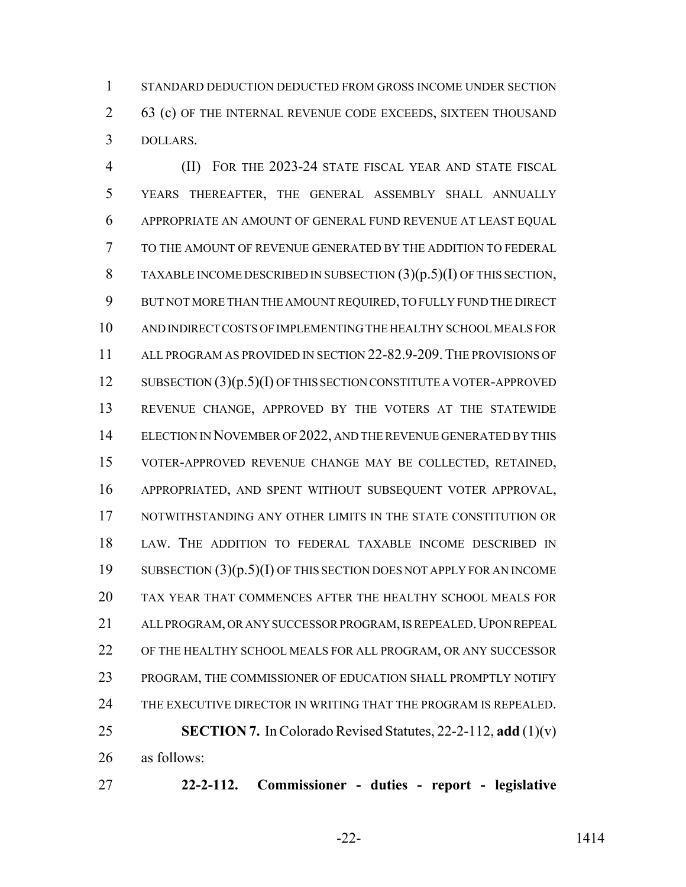STANDARD DEDUCTION DEDUCTED FROM GROSS INCOME UNDER SECTION 2 63 (c) OF THE INTERNAL REVENUE CODE EXCEEDS, SIXTEEN THOUSAND DOLLARS.

 (II) FOR THE 2023-24 STATE FISCAL YEAR AND STATE FISCAL YEARS THEREAFTER, THE GENERAL ASSEMBLY SHALL ANNUALLY APPROPRIATE AN AMOUNT OF GENERAL FUND REVENUE AT LEAST EQUAL TO THE AMOUNT OF REVENUE GENERATED BY THE ADDITION TO FEDERAL TAXABLE INCOME DESCRIBED IN SUBSECTION (3)(p.5)(I) OF THIS SECTION, BUT NOT MORE THAN THE AMOUNT REQUIRED, TO FULLY FUND THE DIRECT AND INDIRECT COSTS OF IMPLEMENTING THE HEALTHY SCHOOL MEALS FOR ALL PROGRAM AS PROVIDED IN SECTION 22-82.9-209. THE PROVISIONS OF 12 SUBSECTION (3)(p.5)(I) OF THIS SECTION CONSTITUTE A VOTER-APPROVED REVENUE CHANGE, APPROVED BY THE VOTERS AT THE STATEWIDE 14 ELECTION IN NOVEMBER OF 2022, AND THE REVENUE GENERATED BY THIS VOTER-APPROVED REVENUE CHANGE MAY BE COLLECTED, RETAINED, APPROPRIATED, AND SPENT WITHOUT SUBSEQUENT VOTER APPROVAL, 17 NOTWITHSTANDING ANY OTHER LIMITS IN THE STATE CONSTITUTION OR LAW. THE ADDITION TO FEDERAL TAXABLE INCOME DESCRIBED IN SUBSECTION (3)(p.5)(I) OF THIS SECTION DOES NOT APPLY FOR AN INCOME TAX YEAR THAT COMMENCES AFTER THE HEALTHY SCHOOL MEALS FOR 21 ALL PROGRAM, OR ANY SUCCESSOR PROGRAM, IS REPEALED. UPON REPEAL OF THE HEALTHY SCHOOL MEALS FOR ALL PROGRAM, OR ANY SUCCESSOR PROGRAM, THE COMMISSIONER OF EDUCATION SHALL PROMPTLY NOTIFY THE EXECUTIVE DIRECTOR IN WRITING THAT THE PROGRAM IS REPEALED. **SECTION 7.** In Colorado Revised Statutes, 22-2-112, **add** (1)(v) as follows:

**22-2-112. Commissioner - duties - report - legislative**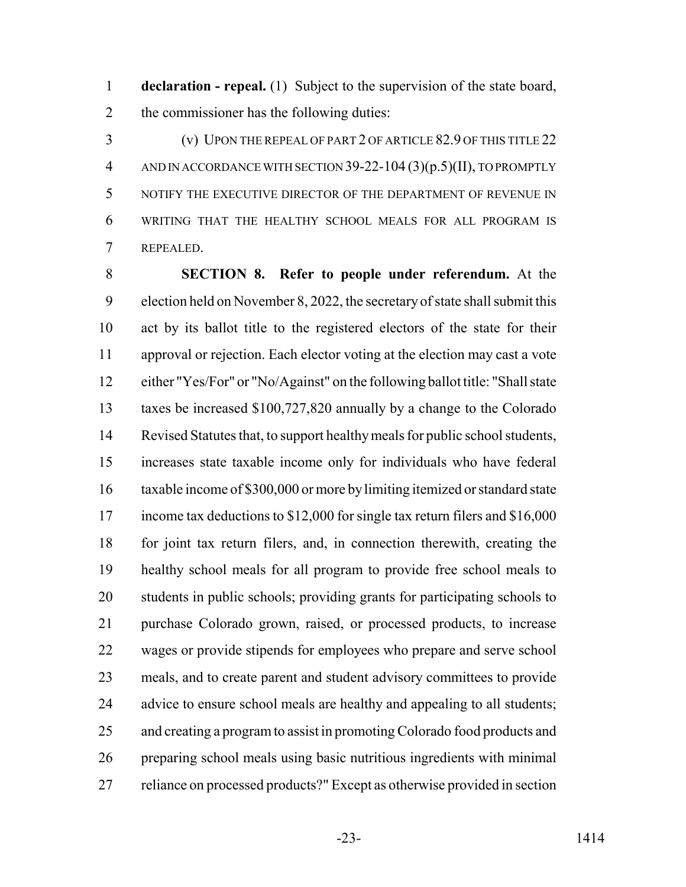**declaration - repeal.** (1) Subject to the supervision of the state board, 2 the commissioner has the following duties:

 (v) UPON THE REPEAL OF PART 2 OF ARTICLE 82.9 OF THIS TITLE 22 AND IN ACCORDANCE WITH SECTION 39-22-104 (3)(p.5)(II), TO PROMPTLY NOTIFY THE EXECUTIVE DIRECTOR OF THE DEPARTMENT OF REVENUE IN WRITING THAT THE HEALTHY SCHOOL MEALS FOR ALL PROGRAM IS REPEALED.

 **SECTION 8. Refer to people under referendum.** At the election held on November 8, 2022, the secretary of state shall submit this act by its ballot title to the registered electors of the state for their approval or rejection. Each elector voting at the election may cast a vote either "Yes/For" or "No/Against" on the following ballot title: "Shall state taxes be increased \$100,727,820 annually by a change to the Colorado Revised Statutes that, to support healthy meals for public school students, increases state taxable income only for individuals who have federal taxable income of \$300,000 or more by limiting itemized or standard state 17 income tax deductions to \$12,000 for single tax return filers and \$16,000 for joint tax return filers, and, in connection therewith, creating the healthy school meals for all program to provide free school meals to students in public schools; providing grants for participating schools to purchase Colorado grown, raised, or processed products, to increase wages or provide stipends for employees who prepare and serve school meals, and to create parent and student advisory committees to provide 24 advice to ensure school meals are healthy and appealing to all students; and creating a program to assist in promoting Colorado food products and preparing school meals using basic nutritious ingredients with minimal reliance on processed products?" Except as otherwise provided in section